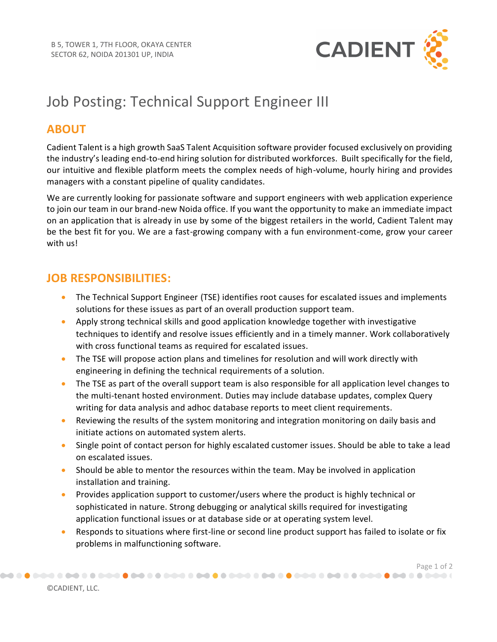

# Job Posting: Technical Support Engineer III

#### **ABOUT**

Cadient Talent is a high growth SaaS Talent Acquisition software provider focused exclusively on providing the industry's leading end-to-end hiring solution for distributed workforces. Built specifically for the field, our intuitive and flexible platform meets the complex needs of high-volume, hourly hiring and provides managers with a constant pipeline of quality candidates.

We are currently looking for passionate software and support engineers with web application experience to join our team in our brand-new Noida office. If you want the opportunity to make an immediate impact on an application that is already in use by some of the biggest retailers in the world, Cadient Talent may be the best fit for you. We are a fast-growing company with a fun environment-come, grow your career with us!

## **JOB RESPONSIBILITIES:**

- The Technical Support Engineer (TSE) identifies root causes for escalated issues and implements solutions for these issues as part of an overall production support team.
- Apply strong technical skills and good application knowledge together with investigative techniques to identify and resolve issues efficiently and in a timely manner. Work collaboratively with cross functional teams as required for escalated issues.
- The TSE will propose action plans and timelines for resolution and will work directly with engineering in defining the technical requirements of a solution.
- The TSE as part of the overall support team is also responsible for all application level changes to the multi-tenant hosted environment. Duties may include database updates, complex Query writing for data analysis and adhoc database reports to meet client requirements.
- Reviewing the results of the system monitoring and integration monitoring on daily basis and initiate actions on automated system alerts.
- Single point of contact person for highly escalated customer issues. Should be able to take a lead on escalated issues.
- Should be able to mentor the resources within the team. May be involved in application installation and training.
- Provides application support to customer/users where the product is highly technical or sophisticated in nature. Strong debugging or analytical skills required for investigating application functional issues or at database side or at operating system level.
- Responds to situations where first-line or second line product support has failed to isolate or fix problems in malfunctioning software.

Page 1 of 2<br>) تحصین که که هم از محصون که هم از محصون که هم که هم از محصون که هم از محصون که هم که هم که هم که هم که هم از